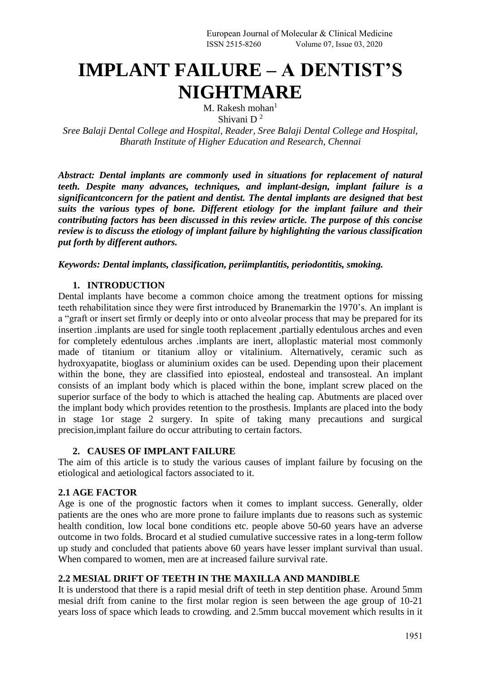# **IMPLANT FAILURE – A DENTIST'S NIGHTMARE**

M. Rakesh mohan $<sup>1</sup>$ </sup> Shivani D <sup>2</sup>

*Sree Balaji Dental College and Hospital, Reader, Sree Balaji Dental College and Hospital, Bharath Institute of Higher Education and Research, Chennai* 

*Abstract: Dental implants are commonly used in situations for replacement of natural teeth. Despite many advances, techniques, and implant-design, implant failure is a significantconcern for the patient and dentist. The dental implants are designed that best suits the various types of bone. Different etiology for the implant failure and their contributing factors has been discussed in this review article. The purpose of this concise review is to discuss the etiology of implant failure by highlighting the various classification put forth by different authors.*

#### *Keywords: Dental implants, classification, periimplantitis, periodontitis, smoking.*

#### **1. INTRODUCTION**

Dental implants have become a common choice among the treatment options for missing teeth rehabilitation since they were first introduced by Branemarkin the 1970's. An implant is a "graft or insert set firmly or deeply into or onto alveolar process that may be prepared for its insertion .implants are used for single tooth replacement ,partially edentulous arches and even for completely edentulous arches .implants are inert, alloplastic material most commonly made of titanium or titanium alloy or vitalinium. Alternatively, ceramic such as hydroxyapatite, bioglass or aluminium oxides can be used. Depending upon their placement within the bone, they are classified into epiosteal, endosteal and transosteal. An implant consists of an implant body which is placed within the bone, implant screw placed on the superior surface of the body to which is attached the healing cap. Abutments are placed over the implant body which provides retention to the prosthesis. Implants are placed into the body in stage 1or stage 2 surgery. In spite of taking many precautions and surgical precision,implant failure do occur attributing to certain factors.

#### **2. CAUSES OF IMPLANT FAILURE**

The aim of this article is to study the various causes of implant failure by focusing on the etiological and aetiological factors associated to it.

## **2.1 AGE FACTOR**

Age is one of the prognostic factors when it comes to implant success. Generally, older patients are the ones who are more prone to failure implants due to reasons such as systemic health condition, low local bone conditions etc. people above 50-60 years have an adverse outcome in two folds. Brocard et al studied cumulative successive rates in a long-term follow up study and concluded that patients above 60 years have lesser implant survival than usual. When compared to women, men are at increased failure survival rate.

## **2.2 MESIAL DRIFT OF TEETH IN THE MAXILLA AND MANDIBLE**

It is understood that there is a rapid mesial drift of teeth in step dentition phase. Around 5mm mesial drift from canine to the first molar region is seen between the age group of 10-21 years loss of space which leads to crowding. and 2.5mm buccal movement which results in it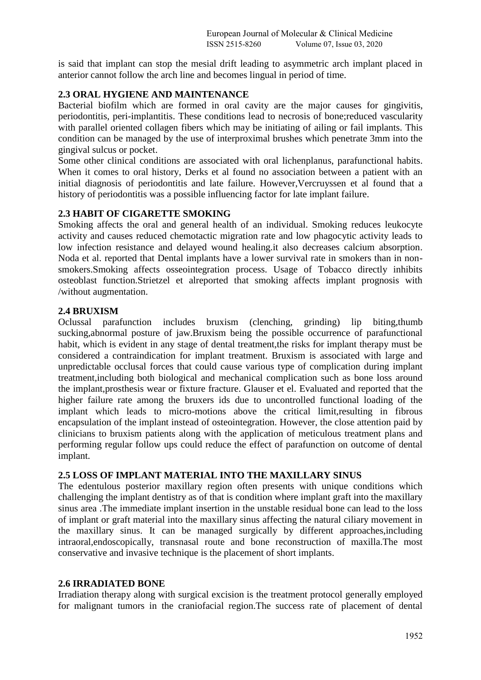is said that implant can stop the mesial drift leading to asymmetric arch implant placed in anterior cannot follow the arch line and becomes lingual in period of time.

# **2.3 ORAL HYGIENE AND MAINTENANCE**

Bacterial biofilm which are formed in oral cavity are the major causes for gingivitis, periodontitis, peri-implantitis. These conditions lead to necrosis of bone;reduced vascularity with parallel oriented collagen fibers which may be initiating of ailing or fail implants. This condition can be managed by the use of interproximal brushes which penetrate 3mm into the gingival sulcus or pocket.

Some other clinical conditions are associated with oral lichenplanus, parafunctional habits. When it comes to oral history, Derks et al found no association between a patient with an initial diagnosis of periodontitis and late failure. However,Vercruyssen et al found that a history of periodontitis was a possible influencing factor for late implant failure.

## **2.3 HABIT OF CIGARETTE SMOKING**

Smoking affects the oral and general health of an individual. Smoking reduces leukocyte activity and causes reduced chemotactic migration rate and low phagocytic activity leads to low infection resistance and delayed wound healing.it also decreases calcium absorption. Noda et al. reported that Dental implants have a lower survival rate in smokers than in nonsmokers.Smoking affects osseointegration process. Usage of Tobacco directly inhibits osteoblast function.Strietzel et alreported that smoking affects implant prognosis with /without augmentation.

#### **2.4 BRUXISM**

Oclussal parafunction includes bruxism (clenching, grinding) lip biting,thumb sucking,abnormal posture of jaw.Bruxism being the possible occurrence of parafunctional habit, which is evident in any stage of dental treatment,the risks for implant therapy must be considered a contraindication for implant treatment. Bruxism is associated with large and unpredictable occlusal forces that could cause various type of complication during implant treatment,including both biological and mechanical complication such as bone loss around the implant,prosthesis wear or fixture fracture. Glauser et el. Evaluated and reported that the higher failure rate among the bruxers ids due to uncontrolled functional loading of the implant which leads to micro-motions above the critical limit,resulting in fibrous encapsulation of the implant instead of osteointegration. However, the close attention paid by clinicians to bruxism patients along with the application of meticulous treatment plans and performing regular follow ups could reduce the effect of parafunction on outcome of dental implant.

#### **2.5 LOSS OF IMPLANT MATERIAL INTO THE MAXILLARY SINUS**

The edentulous posterior maxillary region often presents with unique conditions which challenging the implant dentistry as of that is condition where implant graft into the maxillary sinus area .The immediate implant insertion in the unstable residual bone can lead to the loss of implant or graft material into the maxillary sinus affecting the natural ciliary movement in the maxillary sinus. It can be managed surgically by different approaches,including intraoral,endoscopically, transnasal route and bone reconstruction of maxilla.The most conservative and invasive technique is the placement of short implants.

#### **2.6 IRRADIATED BONE**

Irradiation therapy along with surgical excision is the treatment protocol generally employed for malignant tumors in the craniofacial region.The success rate of placement of dental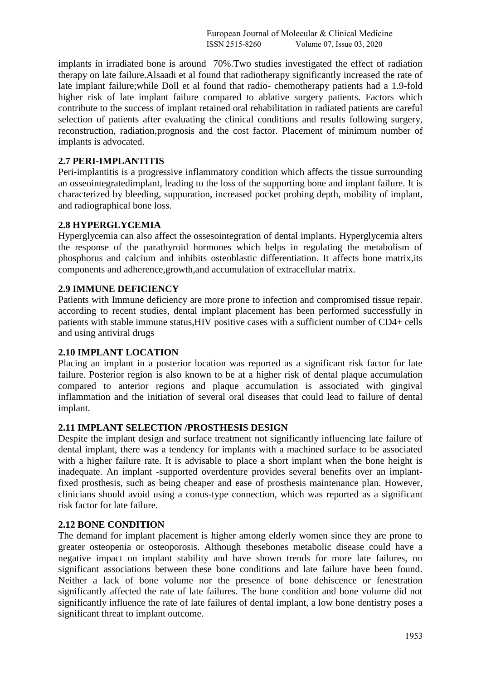implants in irradiated bone is around 70%.Two studies investigated the effect of radiation therapy on late failure.Alsaadi et al found that radiotherapy significantly increased the rate of late implant failure;while Doll et al found that radio- chemotherapy patients had a 1.9-fold higher risk of late implant failure compared to ablative surgery patients. Factors which contribute to the success of implant retained oral rehabilitation in radiated patients are careful selection of patients after evaluating the clinical conditions and results following surgery, reconstruction, radiation,prognosis and the cost factor. Placement of minimum number of implants is advocated.

#### **2.7 PERI-IMPLANTITIS**

Peri-implantitis is a progressive inflammatory condition which affects the tissue surrounding an osseointegratedimplant, leading to the loss of the supporting bone and implant failure. It is characterized by bleeding, suppuration, increased pocket probing depth, mobility of implant, and radiographical bone loss.

#### **2.8 HYPERGLYCEMIA**

Hyperglycemia can also affect the ossesointegration of dental implants. Hyperglycemia alters the response of the parathyroid hormones which helps in regulating the metabolism of phosphorus and calcium and inhibits osteoblastic differentiation. It affects bone matrix,its components and adherence,growth,and accumulation of extracellular matrix.

#### **2.9 IMMUNE DEFICIENCY**

Patients with Immune deficiency are more prone to infection and compromised tissue repair. according to recent studies, dental implant placement has been performed successfully in patients with stable immune status,HIV positive cases with a sufficient number of CD4+ cells and using antiviral drugs

#### **2.10 IMPLANT LOCATION**

Placing an implant in a posterior location was reported as a significant risk factor for late failure. Posterior region is also known to be at a higher risk of dental plaque accumulation compared to anterior regions and plaque accumulation is associated with gingival inflammation and the initiation of several oral diseases that could lead to failure of dental implant.

#### **2.11 IMPLANT SELECTION /PROSTHESIS DESIGN**

Despite the implant design and surface treatment not significantly influencing late failure of dental implant, there was a tendency for implants with a machined surface to be associated with a higher failure rate. It is advisable to place a short implant when the bone height is inadequate. An implant -supported overdenture provides several benefits over an implantfixed prosthesis, such as being cheaper and ease of prosthesis maintenance plan. However, clinicians should avoid using a conus-type connection, which was reported as a significant risk factor for late failure.

## **2.12 BONE CONDITION**

The demand for implant placement is higher among elderly women since they are prone to greater osteopenia or osteoporosis. Although thesebones metabolic disease could have a negative impact on implant stability and have shown trends for more late failures, no significant associations between these bone conditions and late failure have been found. Neither a lack of bone volume nor the presence of bone dehiscence or fenestration significantly affected the rate of late failures. The bone condition and bone volume did not significantly influence the rate of late failures of dental implant, a low bone dentistry poses a significant threat to implant outcome.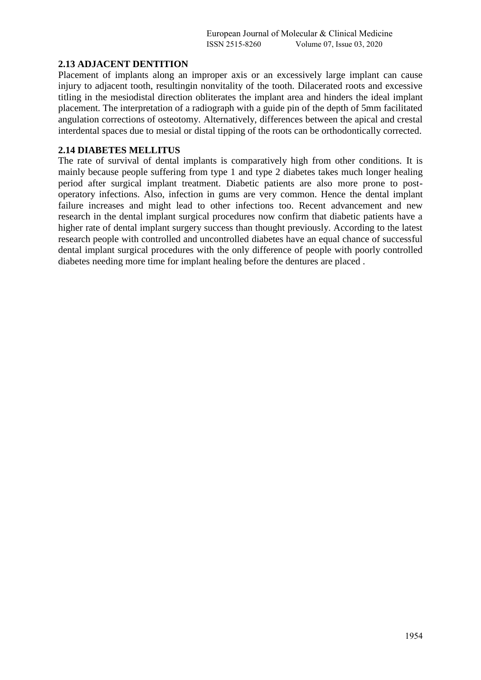#### **2.13 ADJACENT DENTITION**

Placement of implants along an improper axis or an excessively large implant can cause injury to adjacent tooth, resultingin nonvitality of the tooth. Dilacerated roots and excessive titling in the mesiodistal direction obliterates the implant area and hinders the ideal implant placement. The interpretation of a radiograph with a guide pin of the depth of 5mm facilitated angulation corrections of osteotomy. Alternatively, differences between the apical and crestal interdental spaces due to mesial or distal tipping of the roots can be orthodontically corrected.

#### **2.14 DIABETES MELLITUS**

The rate of survival of dental implants is comparatively high from other conditions. It is mainly because people suffering from type 1 and type 2 diabetes takes much longer healing period after surgical implant treatment. Diabetic patients are also more prone to postoperatory infections. Also, infection in gums are very common. Hence the dental implant failure increases and might lead to other infections too. Recent advancement and new research in the dental implant surgical procedures now confirm that diabetic patients have a higher rate of dental implant surgery success than thought previously. According to the latest research people with controlled and uncontrolled diabetes have an equal chance of successful dental implant surgical procedures with the only difference of people with poorly controlled diabetes needing more time for implant healing before the dentures are placed .